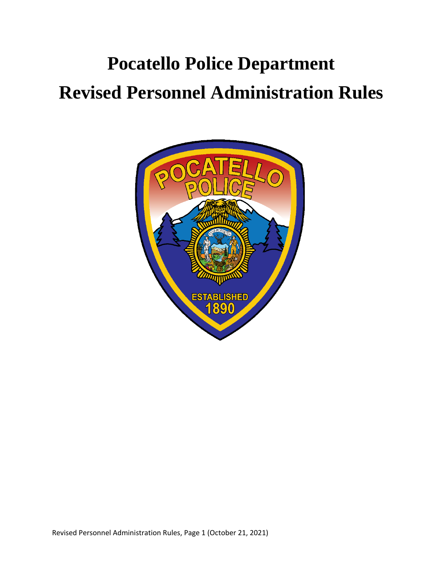# **Pocatello Police Department Revised Personnel Administration Rules**

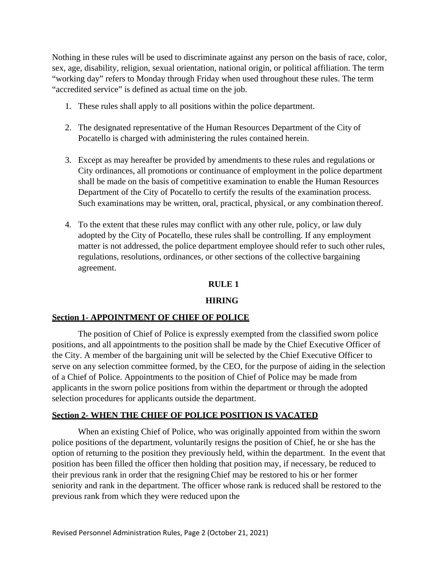Nothing in these rules will be used to discriminate against any person on the basis of race, color, sex, age, disability, religion, sexual orientation, national origin, or political affiliation. The term "working day" refers to Monday through Friday when used throughout these rules. The term "accredited service" is defined as actual time on the job.

- 1. These rules shall apply to all positions within the police department.
- 2. The designated representative of the Human Resources Department of the City of Pocatello is charged with administering the rules contained herein.
- 3. Except as may hereafter be provided by amendments to these rules and regulations or City ordinances, all promotions or continuance of employment in the police department shall be made on the basis of competitive examination to enable the Human Resources Department of the City of Pocatello to certify the results of the examination process. Such examinations may be written, oral, practical, physical, or any combination thereof.
- 4. To the extent that these rules may conflict with any other rule, policy, or law duly adopted by the City of Pocatello, these rules shall be controlling. If any employment matter is not addressed, the police department employee should refer to such other rules, regulations, resolutions, ordinances, or other sections of the collective bargaining agreement.

#### **RULE 1**

#### **HIRING**

#### **Section 1- APPOINTMENT OF CHIEF OF POLICE**

The position of Chief of Police is expressly exempted from the classified sworn police positions, and all appointments to the position shall be made by the Chief Executive Officer of the City. A member of the bargaining unit will be selected by the Chief Executive Officer to serve on any selection committee formed, by the CEO, for the purpose of aiding in the selection of a Chief of Police. Appointments to the position of Chief of Police may be made from applicants in the sworn police positions from within the department or through the adopted selection procedures for applicants outside the department.

#### **Section 2- WHEN THE CHIEF OF POLICE POSITION IS VACATED**

When an existing Chief of Police, who was originally appointed from within the sworn police positions of the department, voluntarily resigns the position of Chief, he or she has the option of returning to the position they previously held, within the department. In the event that position has been filled the officer then holding that position may, if necessary, be reduced to their previous rank in order that the resigning Chief may be restored to his or her former seniority and rank in the department. The officer whose rank is reduced shall be restored to the previous rank from which they were reduced upon the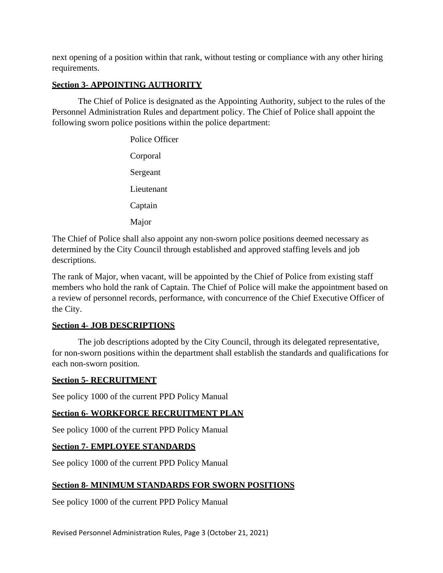next opening of a position within that rank, without testing or compliance with any other hiring requirements.

# **Section 3- APPOINTING AUTHORITY**

The Chief of Police is designated as the Appointing Authority, subject to the rules of the Personnel Administration Rules and department policy. The Chief of Police shall appoint the following sworn police positions within the police department:

> Police Officer Corporal Sergeant Lieutenant Captain Major

The Chief of Police shall also appoint any non-sworn police positions deemed necessary as determined by the City Council through established and approved staffing levels and job descriptions.

The rank of Major, when vacant, will be appointed by the Chief of Police from existing staff members who hold the rank of Captain. The Chief of Police will make the appointment based on a review of personnel records, performance, with concurrence of the Chief Executive Officer of the City.

## **Section 4- JOB DESCRIPTIONS**

The job descriptions adopted by the City Council, through its delegated representative, for non-sworn positions within the department shall establish the standards and qualifications for each non-sworn position.

#### **Section 5- RECRUITMENT**

See policy 1000 of the current PPD Policy Manual

## **Section 6- WORKFORCE RECRUITMENT PLAN**

See policy 1000 of the current PPD Policy Manual

## **Section 7- EMPLOYEE STANDARDS**

See policy 1000 of the current PPD Policy Manual

## **Section 8- MINIMUM STANDARDS FOR SWORN POSITIONS**

See policy 1000 of the current PPD Policy Manual

Revised Personnel Administration Rules, Page 3 (October 21, 2021)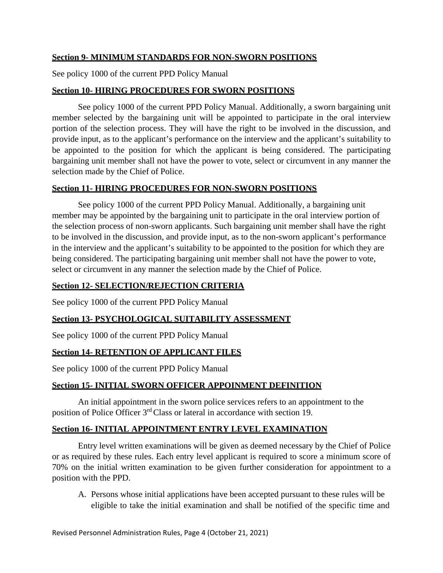## **Section 9- MINIMUM STANDARDS FOR NON-SWORN POSITIONS**

See policy 1000 of the current PPD Policy Manual

#### **Section 10- HIRING PROCEDURES FOR SWORN POSITIONS**

See policy 1000 of the current PPD Policy Manual. Additionally, a sworn bargaining unit member selected by the bargaining unit will be appointed to participate in the oral interview portion of the selection process. They will have the right to be involved in the discussion, and provide input, as to the applicant's performance on the interview and the applicant's suitability to be appointed to the position for which the applicant is being considered. The participating bargaining unit member shall not have the power to vote, select or circumvent in any manner the selection made by the Chief of Police.

#### **Section 11- HIRING PROCEDURES FOR NON-SWORN POSITIONS**

See policy 1000 of the current PPD Policy Manual. Additionally, a bargaining unit member may be appointed by the bargaining unit to participate in the oral interview portion of the selection process of non-sworn applicants. Such bargaining unit member shall have the right to be involved in the discussion, and provide input, as to the non-sworn applicant's performance in the interview and the applicant's suitability to be appointed to the position for which they are being considered. The participating bargaining unit member shall not have the power to vote, select or circumvent in any manner the selection made by the Chief of Police.

#### **Section 12- SELECTION/REJECTION CRITERIA**

See policy 1000 of the current PPD Policy Manual

## **Section 13- PSYCHOLOGICAL SUITABILITY ASSESSMENT**

See policy 1000 of the current PPD Policy Manual

## **Section 14- RETENTION OF APPLICANT FILES**

See policy 1000 of the current PPD Policy Manual

## **Section 15- INITIAL SWORN OFFICER APPOINMENT DEFINITION**

An initial appointment in the sworn police services refers to an appointment to the position of Police Officer 3rd Class or lateral in accordance with section 19.

#### **Section 16- INITIAL APPOINTMENT ENTRY LEVEL EXAMINATION**

Entry level written examinations will be given as deemed necessary by the Chief of Police or as required by these rules. Each entry level applicant is required to score a minimum score of 70% on the initial written examination to be given further consideration for appointment to a position with the PPD.

A. Persons whose initial applications have been accepted pursuant to these rules will be eligible to take the initial examination and shall be notified of the specific time and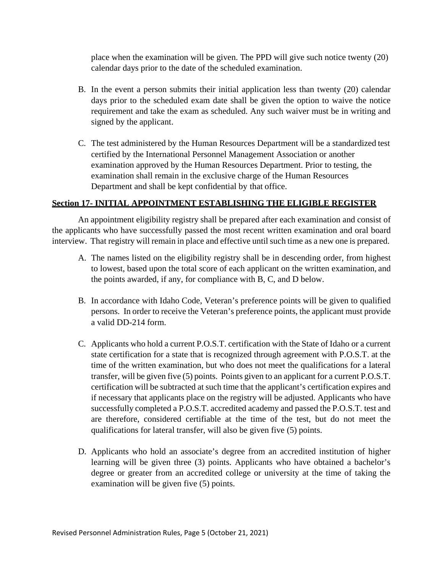place when the examination will be given. The PPD will give such notice twenty (20) calendar days prior to the date of the scheduled examination.

- B. In the event a person submits their initial application less than twenty (20) calendar days prior to the scheduled exam date shall be given the option to waive the notice requirement and take the exam as scheduled. Any such waiver must be in writing and signed by the applicant.
- C. The test administered by the Human Resources Department will be a standardized test certified by the International Personnel Management Association or another examination approved by the Human Resources Department. Prior to testing, the examination shall remain in the exclusive charge of the Human Resources Department and shall be kept confidential by that office.

#### **Section 17- INITIAL APPOINTMENT ESTABLISHING THE ELIGIBLE REGISTER**

An appointment eligibility registry shall be prepared after each examination and consist of the applicants who have successfully passed the most recent written examination and oral board interview. That registry will remain in place and effective until such time as a new one is prepared.

- A. The names listed on the eligibility registry shall be in descending order, from highest to lowest, based upon the total score of each applicant on the written examination, and the points awarded, if any, for compliance with B, C, and D below.
- B. In accordance with Idaho Code, Veteran's preference points will be given to qualified persons. In order to receive the Veteran's preference points, the applicant must provide a valid DD-214 form.
- C. Applicants who hold a current P.O.S.T. certification with the State of Idaho or a current state certification for a state that is recognized through agreement with P.O.S.T. at the time of the written examination, but who does not meet the qualifications for a lateral transfer, will be given five (5) points. Points given to an applicant for a current P.O.S.T. certification will be subtracted at such time that the applicant's certification expires and if necessary that applicants place on the registry will be adjusted. Applicants who have successfully completed a P.O.S.T. accredited academy and passed the P.O.S.T. test and are therefore, considered certifiable at the time of the test, but do not meet the qualifications for lateral transfer, will also be given five (5) points.
- D. Applicants who hold an associate's degree from an accredited institution of higher learning will be given three (3) points. Applicants who have obtained a bachelor's degree or greater from an accredited college or university at the time of taking the examination will be given five (5) points.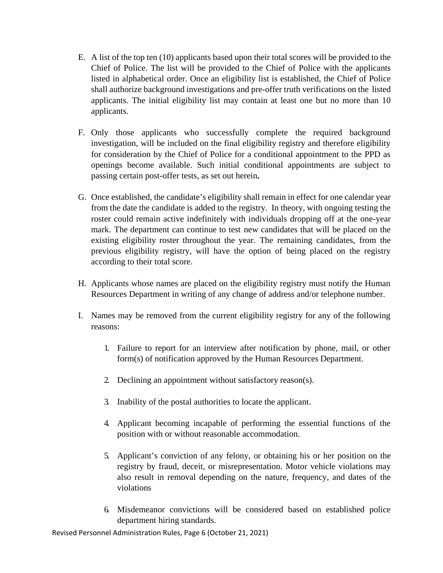- E. A list of the top ten (10) applicants based upon their total scores will be provided to the Chief of Police. The list will be provided to the Chief of Police with the applicants listed in alphabetical order. Once an eligibility list is established, the Chief of Police shall authorize background investigations and pre-offer truth verifications on the listed applicants. The initial eligibility list may contain at least one but no more than 10 applicants.
- F. Only those applicants who successfully complete the required background investigation, will be included on the final eligibility registry and therefore eligibility for consideration by the Chief of Police for a conditional appointment to the PPD as openings become available. Such initial conditional appointments are subject to passing certain post-offer tests, as set out herein**.**
- G. Once established, the candidate's eligibility shall remain in effect for one calendar year from the date the candidate is added to the registry. In theory, with ongoing testing the roster could remain active indefinitely with individuals dropping off at the one-year mark. The department can continue to test new candidates that will be placed on the existing eligibility roster throughout the year. The remaining candidates, from the previous eligibility registry, will have the option of being placed on the registry according to their total score.
- H. Applicants whose names are placed on the eligibility registry must notify the Human Resources Department in writing of any change of address and/or telephone number.
- I. Names may be removed from the current eligibility registry for any of the following reasons:
	- 1. Failure to report for an interview after notification by phone, mail, or other form(s) of notification approved by the Human Resources Department.
	- 2. Declining an appointment without satisfactory reason(s).
	- 3. Inability of the postal authorities to locate the applicant.
	- 4. Applicant becoming incapable of performing the essential functions of the position with or without reasonable accommodation.
	- 5. Applicant's conviction of any felony, or obtaining his or her position on the registry by fraud, deceit, or misrepresentation. Motor vehicle violations may also result in removal depending on the nature, frequency, and dates of the violations
	- 6. Misdemeanor convictions will be considered based on established police department hiring standards.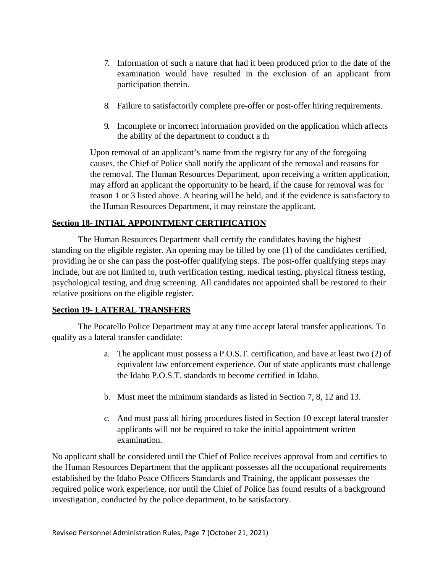- 7. Information of such a nature that had it been produced prior to the date of the examination would have resulted in the exclusion of an applicant from participation therein.
- 8. Failure to satisfactorily complete pre-offer or post-offer hiring requirements.
- 9. Incomplete or incorrect information provided on the application which affects the ability of the department to conduct a th

Upon removal of an applicant's name from the registry for any of the foregoing causes, the Chief of Police shall notify the applicant of the removal and reasons for the removal. The Human Resources Department, upon receiving a written application, may afford an applicant the opportunity to be heard, if the cause for removal was for reason 1 or 3 listed above. A hearing will be held, and if the evidence is satisfactory to the Human Resources Department, it may reinstate the applicant.

## **Section 18- INTIAL APPOINTMENT CERTIFICATION**

The Human Resources Department shall certify the candidates having the highest standing on the eligible register. An opening may be filled by one (1) of the candidates certified, providing he or she can pass the post-offer qualifying steps. The post-offer qualifying steps may include, but are not limited to, truth verification testing, medical testing, physical fitness testing, psychological testing, and drug screening. All candidates not appointed shall be restored to their relative positions on the eligible register.

## **Section 19- LATERAL TRANSFERS**

The Pocatello Police Department may at any time accept lateral transfer applications. To qualify as a lateral transfer candidate:

- a. The applicant must possess a P.O.S.T. certification, and have at least two (2) of equivalent law enforcement experience. Out of state applicants must challenge the Idaho P.O.S.T. standards to become certified in Idaho.
- b. Must meet the minimum standards as listed in Section 7, 8, 12 and 13.
- c. And must pass all hiring procedures listed in Section 10 except lateral transfer applicants will not be required to take the initial appointment written examination.

No applicant shall be considered until the Chief of Police receives approval from and certifies to the Human Resources Department that the applicant possesses all the occupational requirements established by the Idaho Peace Officers Standards and Training, the applicant possesses the required police work experience, nor until the Chief of Police has found results of a background investigation, conducted by the police department, to be satisfactory.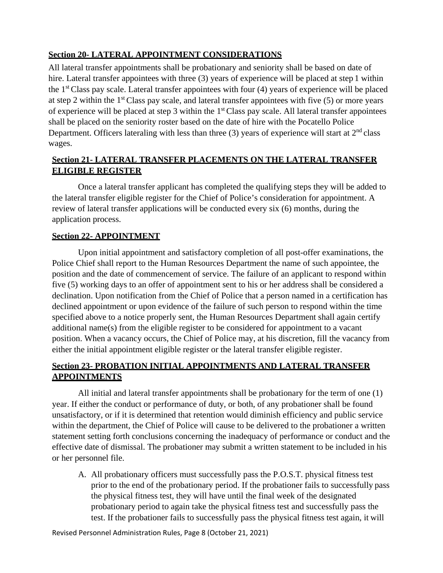# **Section 20- LATERAL APPOINTMENT CONSIDERATIONS**

All lateral transfer appointments shall be probationary and seniority shall be based on date of hire. Lateral transfer appointees with three (3) years of experience will be placed at step 1 within the  $1<sup>st</sup> Class pay scale. Lateral transfer appointees with four (4) years of experience will be placed$ at step 2 within the  $1<sup>st</sup>$ Class pay scale, and lateral transfer appointees with five (5) or more years of experience will be placed at step 3 within the  $1<sup>st</sup> Class pay scale$ . All lateral transfer appointees shall be placed on the seniority roster based on the date of hire with the Pocatello Police Department. Officers lateraling with less than three (3) years of experience will start at  $2<sup>nd</sup>$  class wages.

# **Section 21- LATERAL TRANSFER PLACEMENTS ON THE LATERAL TRANSFER ELIGIBLE REGISTER**

Once a lateral transfer applicant has completed the qualifying steps they will be added to the lateral transfer eligible register for the Chief of Police's consideration for appointment. A review of lateral transfer applications will be conducted every six (6) months, during the application process.

#### **Section 22- APPOINTMENT**

Upon initial appointment and satisfactory completion of all post-offer examinations, the Police Chief shall report to the Human Resources Department the name of such appointee, the position and the date of commencement of service. The failure of an applicant to respond within five (5) working days to an offer of appointment sent to his or her address shall be considered a declination. Upon notification from the Chief of Police that a person named in a certification has declined appointment or upon evidence of the failure of such person to respond within the time specified above to a notice properly sent, the Human Resources Department shall again certify additional name(s) from the eligible register to be considered for appointment to a vacant position. When a vacancy occurs, the Chief of Police may, at his discretion, fill the vacancy from either the initial appointment eligible register or the lateral transfer eligible register.

# **Section 23- PROBATION INITIAL APPOINTMENTS AND LATERAL TRANSFER APPOINTMENTS**

All initial and lateral transfer appointments shall be probationary for the term of one (1) year. If either the conduct or performance of duty, or both, of any probationer shall be found unsatisfactory, or if it is determined that retention would diminish efficiency and public service within the department, the Chief of Police will cause to be delivered to the probationer a written statement setting forth conclusions concerning the inadequacy of performance or conduct and the effective date of dismissal. The probationer may submit a written statement to be included in his or her personnel file.

A. All probationary officers must successfully pass the P.O.S.T. physical fitness test prior to the end of the probationary period. If the probationer fails to successfully pass the physical fitness test, they will have until the final week of the designated probationary period to again take the physical fitness test and successfully pass the test. If the probationer fails to successfully pass the physical fitness test again, it will

Revised Personnel Administration Rules, Page 8 (October 21, 2021)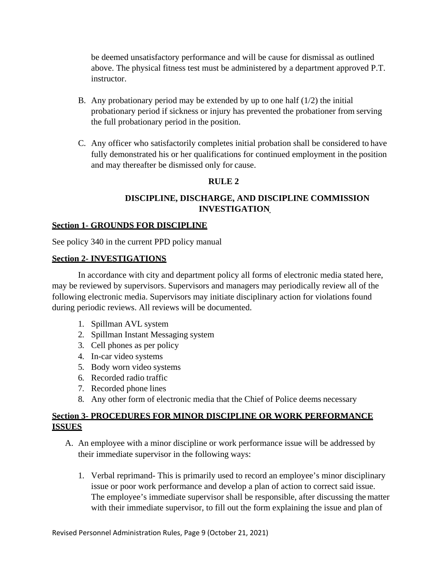be deemed unsatisfactory performance and will be cause for dismissal as outlined above. The physical fitness test must be administered by a department approved P.T. instructor.

- B. Any probationary period may be extended by up to one half  $(1/2)$  the initial probationary period if sickness or injury has prevented the probationer from serving the full probationary period in the position.
- C. Any officer who satisfactorily completes initial probation shall be considered to have fully demonstrated his or her qualifications for continued employment in the position and may thereafter be dismissed only for cause.

# **RULE 2**

# **DISCIPLINE, DISCHARGE, AND DISCIPLINE COMMISSION INVESTIGATION**

## **Section 1- GROUNDS FOR DISCIPLINE**

See policy 340 in the current PPD policy manual

#### **Section 2- INVESTIGATIONS**

In accordance with city and department policy all forms of electronic media stated here, may be reviewed by supervisors. Supervisors and managers may periodically review all of the following electronic media. Supervisors may initiate disciplinary action for violations found during periodic reviews. All reviews will be documented.

- 1. Spillman AVL system
- 2. Spillman Instant Messaging system
- 3. Cell phones as per policy
- 4. In-car video systems
- 5. Body worn video systems
- 6. Recorded radio traffic
- 7. Recorded phone lines
- 8. Any other form of electronic media that the Chief of Police deems necessary

# **Section 3- PROCEDURES FOR MINOR DISCIPLINE OR WORK PERFORMANCE ISSUES**

- A. An employee with a minor discipline or work performance issue will be addressed by their immediate supervisor in the following ways:
	- 1. Verbal reprimand- This is primarily used to record an employee's minor disciplinary issue or poor work performance and develop a plan of action to correct said issue. The employee's immediate supervisor shall be responsible, after discussing the matter with their immediate supervisor, to fill out the form explaining the issue and plan of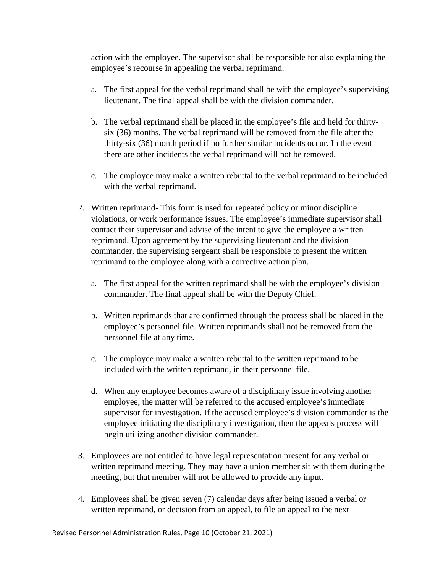action with the employee. The supervisor shall be responsible for also explaining the employee's recourse in appealing the verbal reprimand.

- a. The first appeal for the verbal reprimand shall be with the employee's supervising lieutenant. The final appeal shall be with the division commander.
- b. The verbal reprimand shall be placed in the employee's file and held for thirtysix (36) months. The verbal reprimand will be removed from the file after the thirty-six (36) month period if no further similar incidents occur. In the event there are other incidents the verbal reprimand will not be removed.
- c. The employee may make a written rebuttal to the verbal reprimand to be included with the verbal reprimand.
- 2. Written reprimand- This form is used for repeated policy or minor discipline violations, or work performance issues. The employee's immediate supervisor shall contact their supervisor and advise of the intent to give the employee a written reprimand. Upon agreement by the supervising lieutenant and the division commander, the supervising sergeant shall be responsible to present the written reprimand to the employee along with a corrective action plan.
	- a. The first appeal for the written reprimand shall be with the employee's division commander. The final appeal shall be with the Deputy Chief.
	- b. Written reprimands that are confirmed through the process shall be placed in the employee's personnel file. Written reprimands shall not be removed from the personnel file at any time.
	- c. The employee may make a written rebuttal to the written reprimand to be included with the written reprimand, in their personnel file.
	- d. When any employee becomes aware of a disciplinary issue involving another employee, the matter will be referred to the accused employee's immediate supervisor for investigation. If the accused employee's division commander is the employee initiating the disciplinary investigation, then the appeals process will begin utilizing another division commander.
- 3. Employees are not entitled to have legal representation present for any verbal or written reprimand meeting. They may have a union member sit with them during the meeting, but that member will not be allowed to provide any input.
- 4. Employees shall be given seven (7) calendar days after being issued a verbal or written reprimand, or decision from an appeal, to file an appeal to the next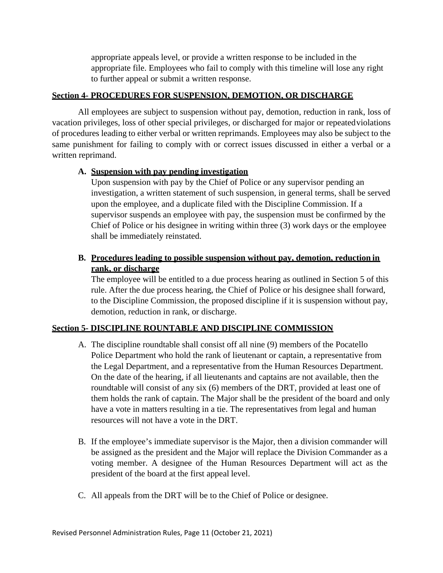appropriate appeals level, or provide a written response to be included in the appropriate file. Employees who fail to comply with this timeline will lose any right to further appeal or submit a written response.

## **Section 4- PROCEDURES FOR SUSPENSION, DEMOTION, OR DISCHARGE**

All employees are subject to suspension without pay, demotion, reduction in rank, loss of vacation privileges, loss of other special privileges, or discharged for major or repeatedviolations of procedures leading to either verbal or written reprimands. Employees may also be subject to the same punishment for failing to comply with or correct issues discussed in either a verbal or a written reprimand.

#### **A. Suspension with pay pending investigation**

Upon suspension with pay by the Chief of Police or any supervisor pending an investigation, a written statement of such suspension, in general terms, shall be served upon the employee, and a duplicate filed with the Discipline Commission. If a supervisor suspends an employee with pay, the suspension must be confirmed by the Chief of Police or his designee in writing within three (3) work days or the employee shall be immediately reinstated.

# **B. Procedures leading to possible suspension without pay, demotion, reduction in rank, or discharge**

The employee will be entitled to a due process hearing as outlined in Section 5 of this rule. After the due process hearing, the Chief of Police or his designee shall forward, to the Discipline Commission, the proposed discipline if it is suspension without pay, demotion, reduction in rank, or discharge.

## **Section 5- DISCIPLINE ROUNTABLE AND DISCIPLINE COMMISSION**

- A. The discipline roundtable shall consist off all nine (9) members of the Pocatello Police Department who hold the rank of lieutenant or captain, a representative from the Legal Department, and a representative from the Human Resources Department. On the date of the hearing, if all lieutenants and captains are not available, then the roundtable will consist of any six (6) members of the DRT, provided at least one of them holds the rank of captain. The Major shall be the president of the board and only have a vote in matters resulting in a tie. The representatives from legal and human resources will not have a vote in the DRT.
- B. If the employee's immediate supervisor is the Major, then a division commander will be assigned as the president and the Major will replace the Division Commander as a voting member. A designee of the Human Resources Department will act as the president of the board at the first appeal level.
- C. All appeals from the DRT will be to the Chief of Police or designee.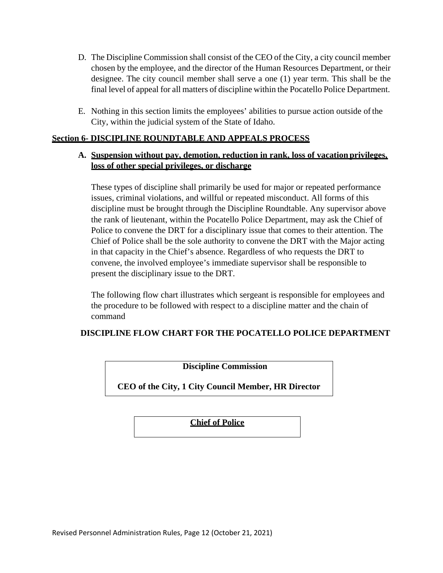- D. The Discipline Commission shall consist of the CEO of the City, a city council member chosen by the employee, and the director of the Human Resources Department, or their designee. The city council member shall serve a one (1) year term. This shall be the final level of appeal for all matters of discipline within the Pocatello Police Department.
- E. Nothing in this section limits the employees' abilities to pursue action outside ofthe City, within the judicial system of the State of Idaho.

#### **Section 6- DISCIPLINE ROUNDTABLE AND APPEALS PROCESS**

## **A. Suspension without pay, demotion, reduction in rank, loss of vacation privileges, loss of other special privileges, or discharge**

These types of discipline shall primarily be used for major or repeated performance issues, criminal violations, and willful or repeated misconduct. All forms of this discipline must be brought through the Discipline Roundtable. Any supervisor above the rank of lieutenant, within the Pocatello Police Department, may ask the Chief of Police to convene the DRT for a disciplinary issue that comes to their attention. The Chief of Police shall be the sole authority to convene the DRT with the Major acting in that capacity in the Chief's absence. Regardless of who requests the DRT to convene, the involved employee's immediate supervisor shall be responsible to present the disciplinary issue to the DRT.

The following flow chart illustrates which sergeant is responsible for employees and the procedure to be followed with respect to a discipline matter and the chain of command

## **DISCIPLINE FLOW CHART FOR THE POCATELLO POLICE DEPARTMENT**

**Discipline Commission**

**CEO of the City, 1 City Council Member, HR Director**

**Chief of Police**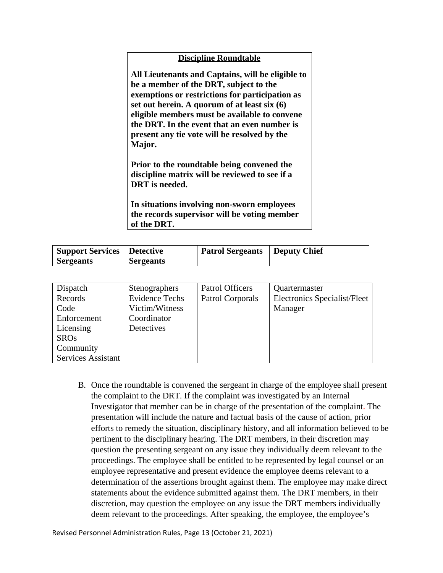#### **Discipline Roundtable**

**All Lieutenants and Captains, will be eligible to be a member of the DRT, subject to the exemptions or restrictions for participation as set out herein. A quorum of at least six (6) eligible members must be available to convene the DRT. In the event that an even number is present any tie vote will be resolved by the Major.**

**Prior to the roundtable being convened the discipline matrix will be reviewed to see if a DRT is needed.**

**In situations involving non-sworn employees the records supervisor will be voting member of the DRT.**

| Support Services   Detective |                  | <b>Patrol Sergeants   Deputy Chief</b> |  |
|------------------------------|------------------|----------------------------------------|--|
| <b>Sergeants</b>             | <b>Sergeants</b> |                                        |  |

| Dispatch                  | Stenographers         | <b>Patrol Officers</b> | Quartermaster                |
|---------------------------|-----------------------|------------------------|------------------------------|
| Records                   | <b>Evidence Techs</b> | Patrol Corporals       | Electronics Specialist/Fleet |
| Code                      | Victim/Witness        |                        | Manager                      |
| Enforcement               | Coordinator           |                        |                              |
| Licensing                 | Detectives            |                        |                              |
| <b>SROs</b>               |                       |                        |                              |
| Community                 |                       |                        |                              |
| <b>Services Assistant</b> |                       |                        |                              |

B. Once the roundtable is convened the sergeant in charge of the employee shall present the complaint to the DRT. If the complaint was investigated by an Internal Investigator that member can be in charge of the presentation of the complaint. The presentation will include the nature and factual basis of the cause of action, prior efforts to remedy the situation, disciplinary history, and all information believed to be pertinent to the disciplinary hearing. The DRT members, in their discretion may question the presenting sergeant on any issue they individually deem relevant to the proceedings. The employee shall be entitled to be represented by legal counsel or an employee representative and present evidence the employee deems relevant to a determination of the assertions brought against them. The employee may make direct statements about the evidence submitted against them. The DRT members, in their discretion, may question the employee on any issue the DRT members individually deem relevant to the proceedings. After speaking, the employee, the employee's

Revised Personnel Administration Rules, Page 13 (October 21, 2021)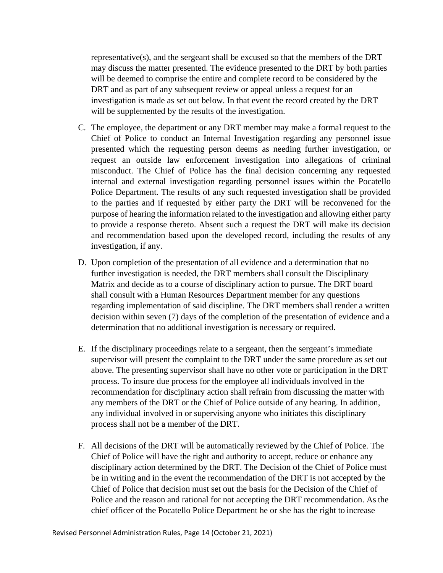representative(s), and the sergeant shall be excused so that the members of the DRT may discuss the matter presented. The evidence presented to the DRT by both parties will be deemed to comprise the entire and complete record to be considered by the DRT and as part of any subsequent review or appeal unless a request for an investigation is made as set out below. In that event the record created by the DRT will be supplemented by the results of the investigation.

- C. The employee, the department or any DRT member may make a formal request to the Chief of Police to conduct an Internal Investigation regarding any personnel issue presented which the requesting person deems as needing further investigation, or request an outside law enforcement investigation into allegations of criminal misconduct. The Chief of Police has the final decision concerning any requested internal and external investigation regarding personnel issues within the Pocatello Police Department. The results of any such requested investigation shall be provided to the parties and if requested by either party the DRT will be reconvened for the purpose of hearing the information related to the investigation and allowing either party to provide a response thereto. Absent such a request the DRT will make its decision and recommendation based upon the developed record, including the results of any investigation, if any.
- D. Upon completion of the presentation of all evidence and a determination that no further investigation is needed, the DRT members shall consult the Disciplinary Matrix and decide as to a course of disciplinary action to pursue. The DRT board shall consult with a Human Resources Department member for any questions regarding implementation of said discipline. The DRT members shall render a written decision within seven (7) days of the completion of the presentation of evidence and a determination that no additional investigation is necessary or required.
- E. If the disciplinary proceedings relate to a sergeant, then the sergeant's immediate supervisor will present the complaint to the DRT under the same procedure as set out above. The presenting supervisor shall have no other vote or participation in the DRT process. To insure due process for the employee all individuals involved in the recommendation for disciplinary action shall refrain from discussing the matter with any members of the DRT or the Chief of Police outside of any hearing. In addition, any individual involved in or supervising anyone who initiates this disciplinary process shall not be a member of the DRT.
- F. All decisions of the DRT will be automatically reviewed by the Chief of Police. The Chief of Police will have the right and authority to accept, reduce or enhance any disciplinary action determined by the DRT. The Decision of the Chief of Police must be in writing and in the event the recommendation of the DRT is not accepted by the Chief of Police that decision must set out the basis for the Decision of the Chief of Police and the reason and rational for not accepting the DRT recommendation. As the chief officer of the Pocatello Police Department he or she has the right to increase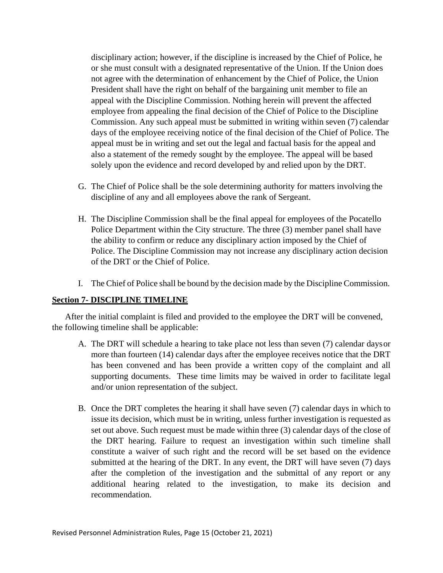disciplinary action; however, if the discipline is increased by the Chief of Police, he or she must consult with a designated representative of the Union. If the Union does not agree with the determination of enhancement by the Chief of Police, the Union President shall have the right on behalf of the bargaining unit member to file an appeal with the Discipline Commission. Nothing herein will prevent the affected employee from appealing the final decision of the Chief of Police to the Discipline Commission. Any such appeal must be submitted in writing within seven (7) calendar days of the employee receiving notice of the final decision of the Chief of Police. The appeal must be in writing and set out the legal and factual basis for the appeal and also a statement of the remedy sought by the employee. The appeal will be based solely upon the evidence and record developed by and relied upon by the DRT.

- G. The Chief of Police shall be the sole determining authority for matters involving the discipline of any and all employees above the rank of Sergeant.
- H. The Discipline Commission shall be the final appeal for employees of the Pocatello Police Department within the City structure. The three (3) member panel shall have the ability to confirm or reduce any disciplinary action imposed by the Chief of Police. The Discipline Commission may not increase any disciplinary action decision of the DRT or the Chief of Police.
- I. The Chief of Police shall be bound by the decision made by the Discipline Commission.

#### **Section 7- DISCIPLINE TIMELINE**

After the initial complaint is filed and provided to the employee the DRT will be convened, the following timeline shall be applicable:

- A. The DRT will schedule a hearing to take place not less than seven (7) calendar daysor more than fourteen (14) calendar days after the employee receives notice that the DRT has been convened and has been provide a written copy of the complaint and all supporting documents. These time limits may be waived in order to facilitate legal and/or union representation of the subject.
- B. Once the DRT completes the hearing it shall have seven (7) calendar days in which to issue its decision, which must be in writing, unless further investigation is requested as set out above. Such request must be made within three (3) calendar days of the close of the DRT hearing. Failure to request an investigation within such timeline shall constitute a waiver of such right and the record will be set based on the evidence submitted at the hearing of the DRT. In any event, the DRT will have seven (7) days after the completion of the investigation and the submittal of any report or any additional hearing related to the investigation, to make its decision and recommendation.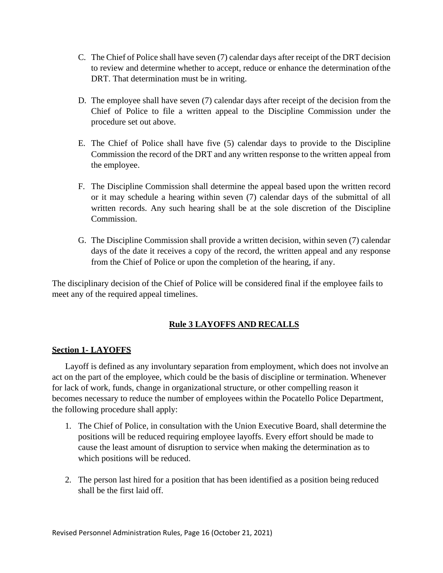- C. The Chief of Police shall have seven (7) calendar days after receipt of the DRT decision to review and determine whether to accept, reduce or enhance the determination ofthe DRT. That determination must be in writing.
- D. The employee shall have seven (7) calendar days after receipt of the decision from the Chief of Police to file a written appeal to the Discipline Commission under the procedure set out above.
- E. The Chief of Police shall have five (5) calendar days to provide to the Discipline Commission the record of the DRT and any written response to the written appeal from the employee.
- F. The Discipline Commission shall determine the appeal based upon the written record or it may schedule a hearing within seven (7) calendar days of the submittal of all written records. Any such hearing shall be at the sole discretion of the Discipline Commission.
- G. The Discipline Commission shall provide a written decision, within seven (7) calendar days of the date it receives a copy of the record, the written appeal and any response from the Chief of Police or upon the completion of the hearing, if any.

The disciplinary decision of the Chief of Police will be considered final if the employee fails to meet any of the required appeal timelines.

# **Rule 3 LAYOFFS AND RECALLS**

## **Section 1- LAYOFFS**

Layoff is defined as any involuntary separation from employment, which does not involve an act on the part of the employee, which could be the basis of discipline or termination. Whenever for lack of work, funds, change in organizational structure, or other compelling reason it becomes necessary to reduce the number of employees within the Pocatello Police Department, the following procedure shall apply:

- 1. The Chief of Police, in consultation with the Union Executive Board, shall determine the positions will be reduced requiring employee layoffs. Every effort should be made to cause the least amount of disruption to service when making the determination as to which positions will be reduced.
- 2. The person last hired for a position that has been identified as a position being reduced shall be the first laid off.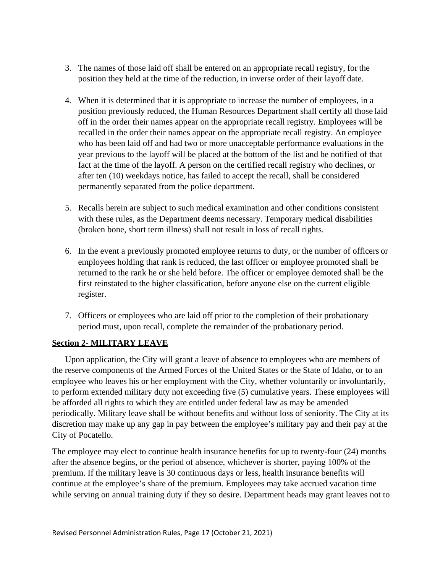- 3. The names of those laid off shall be entered on an appropriate recall registry, for the position they held at the time of the reduction, in inverse order of their layoff date.
- 4. When it is determined that it is appropriate to increase the number of employees, in a position previously reduced, the Human Resources Department shall certify all those laid off in the order their names appear on the appropriate recall registry. Employees will be recalled in the order their names appear on the appropriate recall registry. An employee who has been laid off and had two or more unacceptable performance evaluations in the year previous to the layoff will be placed at the bottom of the list and be notified of that fact at the time of the layoff. A person on the certified recall registry who declines, or after ten (10) weekdays notice, has failed to accept the recall, shall be considered permanently separated from the police department.
- 5. Recalls herein are subject to such medical examination and other conditions consistent with these rules, as the Department deems necessary. Temporary medical disabilities (broken bone, short term illness) shall not result in loss of recall rights.
- 6. In the event a previously promoted employee returns to duty, or the number of officers or employees holding that rank is reduced, the last officer or employee promoted shall be returned to the rank he or she held before. The officer or employee demoted shall be the first reinstated to the higher classification, before anyone else on the current eligible register.
- 7. Officers or employees who are laid off prior to the completion of their probationary period must, upon recall, complete the remainder of the probationary period.

## **Section 2- MILITARY LEAVE**

Upon application, the City will grant a leave of absence to employees who are members of the reserve components of the Armed Forces of the United States or the State of Idaho, or to an employee who leaves his or her employment with the City, whether voluntarily or involuntarily, to perform extended military duty not exceeding five (5) cumulative years. These employees will be afforded all rights to which they are entitled under federal law as may be amended periodically. Military leave shall be without benefits and without loss of seniority. The City at its discretion may make up any gap in pay between the employee's military pay and their pay at the City of Pocatello.

The employee may elect to continue health insurance benefits for up to twenty-four (24) months after the absence begins, or the period of absence, whichever is shorter, paying 100% of the premium. If the military leave is 30 continuous days or less, health insurance benefits will continue at the employee's share of the premium. Employees may take accrued vacation time while serving on annual training duty if they so desire. Department heads may grant leaves not to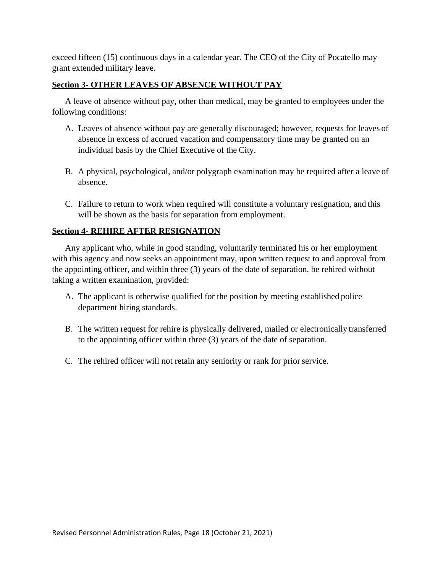exceed fifteen (15) continuous days in a calendar year. The CEO of the City of Pocatello may grant extended military leave.

## **Section 3- OTHER LEAVES OF ABSENCE WITHOUT PAY**

A leave of absence without pay, other than medical, may be granted to employees under the following conditions:

- A. Leaves of absence without pay are generally discouraged; however, requests for leaves of absence in excess of accrued vacation and compensatory time may be granted on an individual basis by the Chief Executive of the City.
- B. A physical, psychological, and/or polygraph examination may be required after a leave of absence.
- C. Failure to return to work when required will constitute a voluntary resignation, and this will be shown as the basis for separation from employment.

## **Section 4- REHIRE AFTER RESIGNATION**

Any applicant who, while in good standing, voluntarily terminated his or her employment with this agency and now seeks an appointment may, upon written request to and approval from the appointing officer, and within three (3) years of the date of separation, be rehired without taking a written examination, provided:

- A. The applicant is otherwise qualified for the position by meeting established police department hiring standards.
- B. The written request for rehire is physically delivered, mailed or electronically transferred to the appointing officer within three (3) years of the date of separation.
- C. The rehired officer will not retain any seniority or rank for prior service.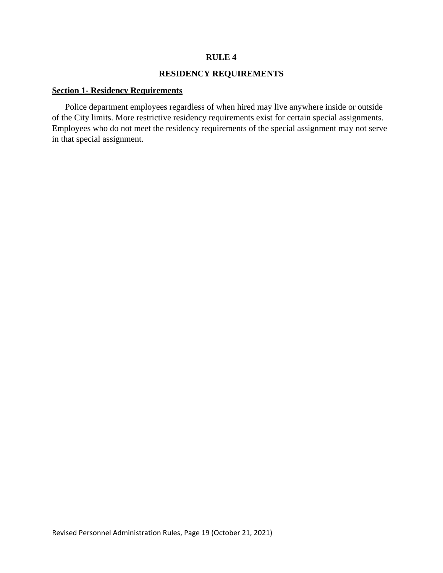#### **RULE 4**

#### **RESIDENCY REQUIREMENTS**

#### **Section 1- Residency Requirements**

Police department employees regardless of when hired may live anywhere inside or outside of the City limits. More restrictive residency requirements exist for certain special assignments. Employees who do not meet the residency requirements of the special assignment may not serve in that special assignment.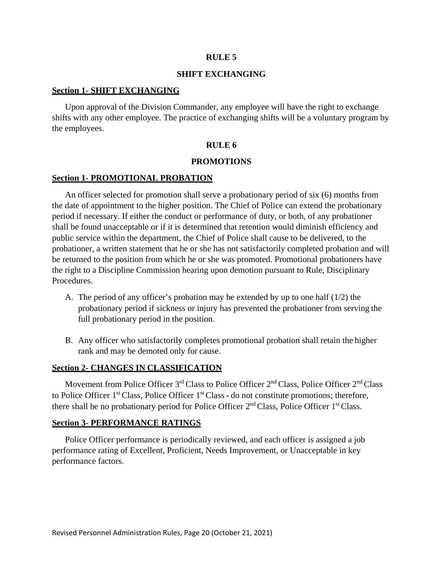#### **RULE 5**

#### **SHIFT EXCHANGING**

#### **Section 1- SHIFT EXCHANGING**

Upon approval of the Division Commander, any employee will have the right to exchange shifts with any other employee. The practice of exchanging shifts will be a voluntary program by the employees.

#### **RULE 6**

#### **PROMOTIONS**

#### **Section 1- PROMOTIONAL PROBATION**

An officer selected for promotion shall serve a probationary period of six (6) months from the date of appointment to the higher position. The Chief of Police can extend the probationary period if necessary. If either the conduct or performance of duty, or both, of any probationer shall be found unacceptable or if it is determined that retention would diminish efficiency and public service within the department, the Chief of Police shall cause to be delivered, to the probationer, a written statement that he or she has not satisfactorily completed probation and will be returned to the position from which he or she was promoted. Promotional probationers have the right to a Discipline Commission hearing upon demotion pursuant to Rule, Disciplinary Procedures.

- A. The period of any officer's probation may be extended by up to one half (1/2) the probationary period if sickness or injury has prevented the probationer from serving the full probationary period in the position.
- B. Any officer who satisfactorily completes promotional probation shall retain the higher rank and may be demoted only for cause.

#### **Section 2- CHANGES IN CLASSIFICATION**

Movement from Police Officer 3<sup>rd</sup> Class to Police Officer 2<sup>nd</sup> Class, Police Officer 2<sup>nd</sup> Class to Police Officer  $1<sup>st</sup>$  Class, Police Officer  $1<sup>st</sup>$  Class - do not constitute promotions; therefore, there shall be no probationary period for Police Officer  $2<sup>nd</sup>$  Class, Police Officer  $1<sup>st</sup>$  Class.

#### **Section 3- PERFORMANCE RATINGS**

Police Officer performance is periodically reviewed, and each officer is assigned a job performance rating of Excellent, Proficient, Needs Improvement, or Unacceptable in key performance factors.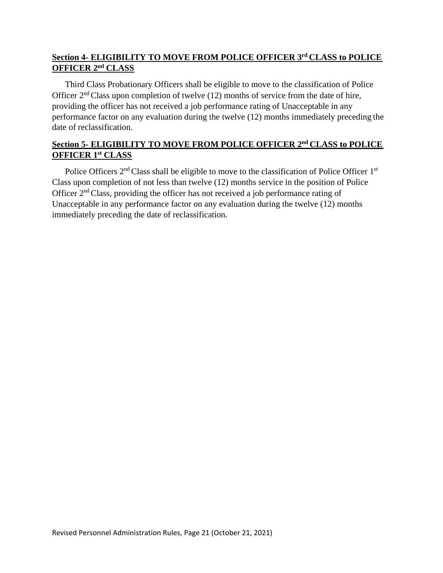# **Section 4- ELIGIBILITY TO MOVE FROM POLICE OFFICER 3rd CLASS to POLICE OFFICER 2nd CLASS**

Third Class Probationary Officers shall be eligible to move to the classification of Police Officer  $2<sup>nd</sup>$  Class upon completion of twelve (12) months of service from the date of hire, providing the officer has not received a job performance rating of Unacceptable in any performance factor on any evaluation during the twelve (12) months immediately preceding the date of reclassification.

# **Section 5- ELIGIBILITY TO MOVE FROM POLICE OFFICER 2nd CLASS to POLICE OFFICER 1st CLASS**

Police Officers 2<sup>nd</sup> Class shall be eligible to move to the classification of Police Officer 1<sup>st</sup> Class upon completion of not less than twelve (12) months service in the position of Police Officer 2nd Class, providing the officer has not received a job performance rating of Unacceptable in any performance factor on any evaluation during the twelve (12) months immediately preceding the date of reclassification.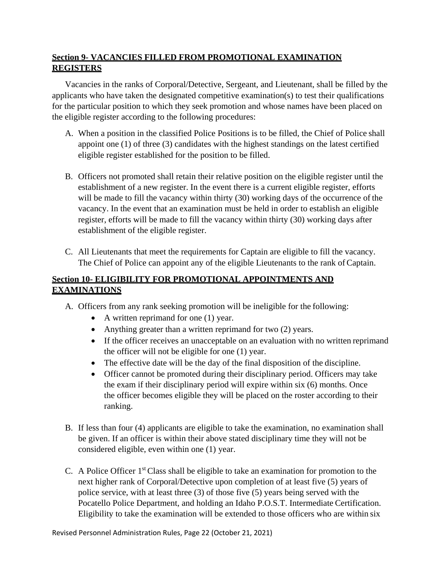# **Section 9- VACANCIES FILLED FROM PROMOTIONAL EXAMINATION REGISTERS**

Vacancies in the ranks of Corporal/Detective, Sergeant, and Lieutenant, shall be filled by the applicants who have taken the designated competitive examination(s) to test their qualifications for the particular position to which they seek promotion and whose names have been placed on the eligible register according to the following procedures:

- A. When a position in the classified Police Positions is to be filled, the Chief of Police shall appoint one (1) of three (3) candidates with the highest standings on the latest certified eligible register established for the position to be filled.
- B. Officers not promoted shall retain their relative position on the eligible register until the establishment of a new register. In the event there is a current eligible register, efforts will be made to fill the vacancy within thirty (30) working days of the occurrence of the vacancy. In the event that an examination must be held in order to establish an eligible register, efforts will be made to fill the vacancy within thirty (30) working days after establishment of the eligible register.
- C. All Lieutenants that meet the requirements for Captain are eligible to fill the vacancy. The Chief of Police can appoint any of the eligible Lieutenants to the rank of Captain.

# **Section 10- ELIGIBILITY FOR PROMOTIONAL APPOINTMENTS AND EXAMINATIONS**

- A. Officers from any rank seeking promotion will be ineligible for the following:
	- A written reprimand for one (1) year.
	- Anything greater than a written reprimand for two (2) years.
	- If the officer receives an unacceptable on an evaluation with no written reprimand the officer will not be eligible for one (1) year.
	- The effective date will be the day of the final disposition of the discipline.
	- Officer cannot be promoted during their disciplinary period. Officers may take the exam if their disciplinary period will expire within six (6) months. Once the officer becomes eligible they will be placed on the roster according to their ranking.
- B. If less than four (4) applicants are eligible to take the examination, no examination shall be given. If an officer is within their above stated disciplinary time they will not be considered eligible, even within one (1) year.
- C. A Police Officer  $1<sup>st</sup>$  Class shall be eligible to take an examination for promotion to the next higher rank of Corporal/Detective upon completion of at least five (5) years of police service, with at least three (3) of those five (5) years being served with the Pocatello Police Department, and holding an Idaho P.O.S.T. Intermediate Certification. Eligibility to take the examination will be extended to those officers who are within six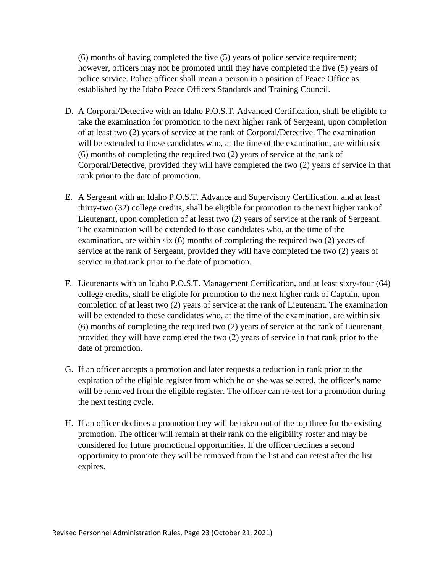(6) months of having completed the five (5) years of police service requirement; however, officers may not be promoted until they have completed the five (5) years of police service. Police officer shall mean a person in a position of Peace Office as established by the Idaho Peace Officers Standards and Training Council.

- D. A Corporal/Detective with an Idaho P.O.S.T. Advanced Certification, shall be eligible to take the examination for promotion to the next higher rank of Sergeant, upon completion of at least two (2) years of service at the rank of Corporal/Detective. The examination will be extended to those candidates who, at the time of the examination, are within six (6) months of completing the required two (2) years of service at the rank of Corporal/Detective, provided they will have completed the two (2) years of service in that rank prior to the date of promotion.
- E. A Sergeant with an Idaho P.O.S.T. Advance and Supervisory Certification, and at least thirty-two (32) college credits, shall be eligible for promotion to the next higher rank of Lieutenant, upon completion of at least two (2) years of service at the rank of Sergeant. The examination will be extended to those candidates who, at the time of the examination, are within six (6) months of completing the required two (2) years of service at the rank of Sergeant, provided they will have completed the two (2) years of service in that rank prior to the date of promotion.
- F. Lieutenants with an Idaho P.O.S.T. Management Certification, and at least sixty-four (64) college credits, shall be eligible for promotion to the next higher rank of Captain, upon completion of at least two (2) years of service at the rank of Lieutenant. The examination will be extended to those candidates who, at the time of the examination, are within six (6) months of completing the required two (2) years of service at the rank of Lieutenant, provided they will have completed the two (2) years of service in that rank prior to the date of promotion.
- G. If an officer accepts a promotion and later requests a reduction in rank prior to the expiration of the eligible register from which he or she was selected, the officer's name will be removed from the eligible register. The officer can re-test for a promotion during the next testing cycle.
- H. If an officer declines a promotion they will be taken out of the top three for the existing promotion. The officer will remain at their rank on the eligibility roster and may be considered for future promotional opportunities. If the officer declines a second opportunity to promote they will be removed from the list and can retest after the list expires.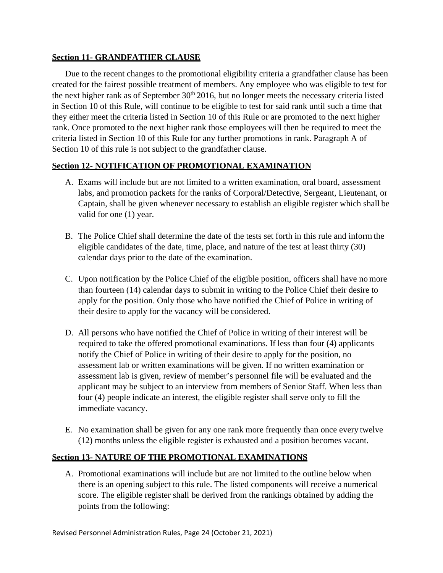#### **Section 11- GRANDFATHER CLAUSE**

Due to the recent changes to the promotional eligibility criteria a grandfather clause has been created for the fairest possible treatment of members. Any employee who was eligible to test for the next higher rank as of September  $30<sup>th</sup> 2016$ , but no longer meets the necessary criteria listed in Section 10 of this Rule, will continue to be eligible to test for said rank until such a time that they either meet the criteria listed in Section 10 of this Rule or are promoted to the next higher rank. Once promoted to the next higher rank those employees will then be required to meet the criteria listed in Section 10 of this Rule for any further promotions in rank. Paragraph A of Section 10 of this rule is not subject to the grandfather clause.

## **Section 12- NOTIFICATION OF PROMOTIONAL EXAMINATION**

- A. Exams will include but are not limited to a written examination, oral board, assessment labs, and promotion packets for the ranks of Corporal/Detective, Sergeant, Lieutenant, or Captain, shall be given whenever necessary to establish an eligible register which shall be valid for one (1) year.
- B. The Police Chief shall determine the date of the tests set forth in this rule and inform the eligible candidates of the date, time, place, and nature of the test at least thirty (30) calendar days prior to the date of the examination.
- C. Upon notification by the Police Chief of the eligible position, officers shall have no more than fourteen (14) calendar days to submit in writing to the Police Chief their desire to apply for the position. Only those who have notified the Chief of Police in writing of their desire to apply for the vacancy will be considered.
- D. All persons who have notified the Chief of Police in writing of their interest will be required to take the offered promotional examinations. If less than four (4) applicants notify the Chief of Police in writing of their desire to apply for the position, no assessment lab or written examinations will be given. If no written examination or assessment lab is given, review of member's personnel file will be evaluated and the applicant may be subject to an interview from members of Senior Staff. When less than four (4) people indicate an interest, the eligible register shall serve only to fill the immediate vacancy.
- E. No examination shall be given for any one rank more frequently than once every twelve (12) months unless the eligible register is exhausted and a position becomes vacant.

## **Section 13- NATURE OF THE PROMOTIONAL EXAMINATIONS**

A. Promotional examinations will include but are not limited to the outline below when there is an opening subject to this rule. The listed components will receive a numerical score. The eligible register shall be derived from the rankings obtained by adding the points from the following: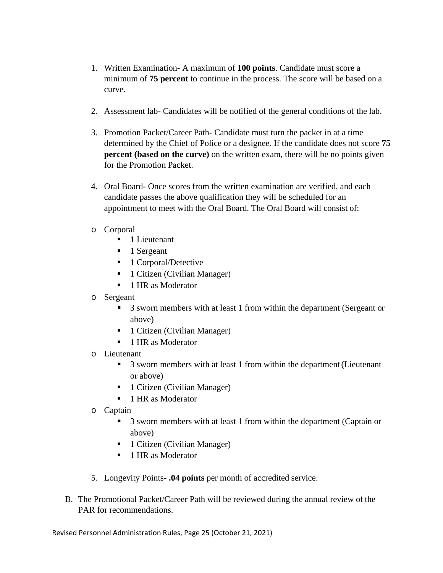- 1. Written Examination- A maximum of **100 points**. Candidate must score a minimum of **75 percent** to continue in the process. The score will be based on a curve.
- 2. Assessment lab- Candidates will be notified of the general conditions of the lab.
- 3. Promotion Packet/Career Path- Candidate must turn the packet in at a time determined by the Chief of Police or a designee. If the candidate does not score **75 percent (based on the curve)** on the written exam, there will be no points given for the Promotion Packet.
- 4. Oral Board- Once scores from the written examination are verified, and each candidate passes the above qualification they will be scheduled for an appointment to meet with the Oral Board. The Oral Board will consist of:
- o Corporal
	- $\blacksquare$  1 Lieutenant
	- $\blacksquare$  1 Sergeant
	- 1 Corporal/Detective
	- 1 Citizen (Civilian Manager)
	- 1 HR as Moderator
- o Sergeant
	- <sup>3</sup> Sworn members with at least 1 from within the department (Sergeant or above)
	- 1 Citizen (Civilian Manager)
	- 1 HR as Moderator
- o Lieutenant
	- 3 sworn members with at least 1 from within the department (Lieutenant or above)
	- 1 Citizen (Civilian Manager)
	- 1 HR as Moderator
- o Captain
	- 3 sworn members with at least 1 from within the department (Captain or above)
	- 1 Citizen (Civilian Manager)
	- 1 HR as Moderator
- 5. Longevity Points- **.04 points** per month of accredited service.
- B. The Promotional Packet/Career Path will be reviewed during the annual review of the PAR for recommendations.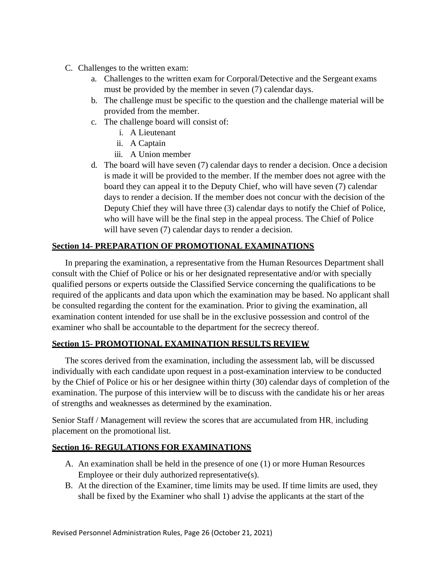- C. Challenges to the written exam:
	- a. Challenges to the written exam for Corporal/Detective and the Sergeant exams must be provided by the member in seven (7) calendar days.
	- b. The challenge must be specific to the question and the challenge material will be provided from the member.
	- c. The challenge board will consist of:
		- i. A Lieutenant
		- ii. A Captain
		- iii. A Union member
	- d. The board will have seven (7) calendar days to render a decision. Once a decision is made it will be provided to the member. If the member does not agree with the board they can appeal it to the Deputy Chief, who will have seven (7) calendar days to render a decision. If the member does not concur with the decision of the Deputy Chief they will have three (3) calendar days to notify the Chief of Police, who will have will be the final step in the appeal process. The Chief of Police will have seven (7) calendar days to render a decision.

# **Section 14- PREPARATION OF PROMOTIONAL EXAMINATIONS**

In preparing the examination, a representative from the Human Resources Department shall consult with the Chief of Police or his or her designated representative and/or with specially qualified persons or experts outside the Classified Service concerning the qualifications to be required of the applicants and data upon which the examination may be based. No applicant shall be consulted regarding the content for the examination. Prior to giving the examination, all examination content intended for use shall be in the exclusive possession and control of the examiner who shall be accountable to the department for the secrecy thereof.

## **Section 15- PROMOTIONAL EXAMINATION RESULTS REVIEW**

The scores derived from the examination, including the assessment lab, will be discussed individually with each candidate upon request in a post-examination interview to be conducted by the Chief of Police or his or her designee within thirty (30) calendar days of completion of the examination. The purpose of this interview will be to discuss with the candidate his or her areas of strengths and weaknesses as determined by the examination.

Senior Staff / Management will review the scores that are accumulated from HR, including placement on the promotional list.

## **Section 16- REGULATIONS FOR EXAMINATIONS**

- A. An examination shall be held in the presence of one (1) or more Human Resources Employee or their duly authorized representative(s).
- B. At the direction of the Examiner, time limits may be used. If time limits are used, they shall be fixed by the Examiner who shall 1) advise the applicants at the start of the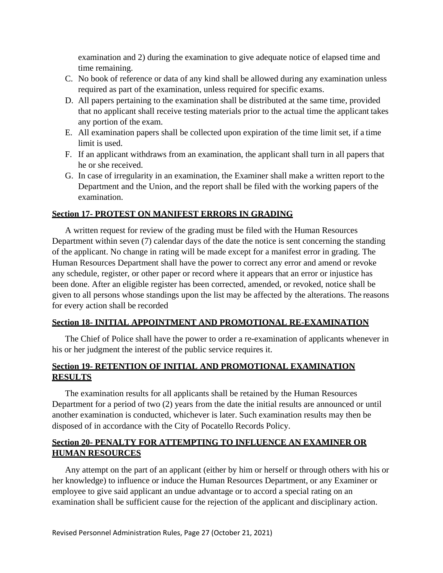examination and 2) during the examination to give adequate notice of elapsed time and time remaining.

- C. No book of reference or data of any kind shall be allowed during any examination unless required as part of the examination, unless required for specific exams.
- D. All papers pertaining to the examination shall be distributed at the same time, provided that no applicant shall receive testing materials prior to the actual time the applicant takes any portion of the exam.
- E. All examination papers shall be collected upon expiration of the time limit set, if a time limit is used.
- F. If an applicant withdraws from an examination, the applicant shall turn in all papers that he or she received.
- G. In case of irregularity in an examination, the Examiner shall make a written report to the Department and the Union, and the report shall be filed with the working papers of the examination.

#### **Section 17- PROTEST ON MANIFEST ERRORS IN GRADING**

A written request for review of the grading must be filed with the Human Resources Department within seven (7) calendar days of the date the notice is sent concerning the standing of the applicant. No change in rating will be made except for a manifest error in grading. The Human Resources Department shall have the power to correct any error and amend or revoke any schedule, register, or other paper or record where it appears that an error or injustice has been done. After an eligible register has been corrected, amended, or revoked, notice shall be given to all persons whose standings upon the list may be affected by the alterations. The reasons for every action shall be recorded

#### **Section 18- INITIAL APPOINTMENT AND PROMOTIONAL RE-EXAMINATION**

The Chief of Police shall have the power to order a re-examination of applicants whenever in his or her judgment the interest of the public service requires it.

# **Section 19- RETENTION OF INITIAL AND PROMOTIONAL EXAMINATION RESULTS**

The examination results for all applicants shall be retained by the Human Resources Department for a period of two (2) years from the date the initial results are announced or until another examination is conducted, whichever is later. Such examination results may then be disposed of in accordance with the City of Pocatello Records Policy.

# **Section 20- PENALTY FOR ATTEMPTING TO INFLUENCE AN EXAMINER OR HUMAN RESOURCES**

Any attempt on the part of an applicant (either by him or herself or through others with his or her knowledge) to influence or induce the Human Resources Department, or any Examiner or employee to give said applicant an undue advantage or to accord a special rating on an examination shall be sufficient cause for the rejection of the applicant and disciplinary action.